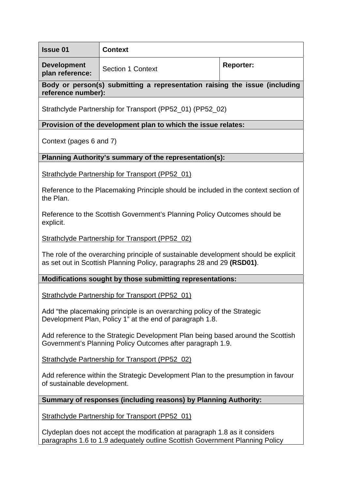| <b>Issue 01</b>                                                                                                                                              | <b>Context</b>           |                  |
|--------------------------------------------------------------------------------------------------------------------------------------------------------------|--------------------------|------------------|
| <b>Development</b><br>plan reference:                                                                                                                        | <b>Section 1 Context</b> | <b>Reporter:</b> |
| Body or person(s) submitting a representation raising the issue (including<br>reference number):                                                             |                          |                  |
| Strathclyde Partnership for Transport (PP52_01) (PP52_02)                                                                                                    |                          |                  |
| Provision of the development plan to which the issue relates:                                                                                                |                          |                  |
| Context (pages 6 and 7)                                                                                                                                      |                          |                  |
| Planning Authority's summary of the representation(s):                                                                                                       |                          |                  |
| <b>Strathclyde Partnership for Transport (PP52_01)</b>                                                                                                       |                          |                  |
| Reference to the Placemaking Principle should be included in the context section of<br>the Plan.                                                             |                          |                  |
| Reference to the Scottish Government's Planning Policy Outcomes should be<br>explicit.                                                                       |                          |                  |
| <b>Strathclyde Partnership for Transport (PP52_02)</b>                                                                                                       |                          |                  |
| The role of the overarching principle of sustainable development should be explicit<br>as set out in Scottish Planning Policy, paragraphs 28 and 29 (RSD01). |                          |                  |
| Modifications sought by those submitting representations:                                                                                                    |                          |                  |
| <b>Strathclyde Partnership for Transport (PP52_01)</b>                                                                                                       |                          |                  |
| Add "the placemaking principle is an overarching policy of the Strategic<br>Development Plan, Policy 1" at the end of paragraph 1.8.                         |                          |                  |
| Add reference to the Strategic Development Plan being based around the Scottish<br>Government's Planning Policy Outcomes after paragraph 1.9.                |                          |                  |
| Strathclyde Partnership for Transport (PP52_02)                                                                                                              |                          |                  |
| Add reference within the Strategic Development Plan to the presumption in favour<br>of sustainable development.                                              |                          |                  |
| Summary of responses (including reasons) by Planning Authority:                                                                                              |                          |                  |

Strathclyde Partnership for Transport (PP52\_01)

Clydeplan does not accept the modification at paragraph 1.8 as it considers paragraphs 1.6 to 1.9 adequately outline Scottish Government Planning Policy